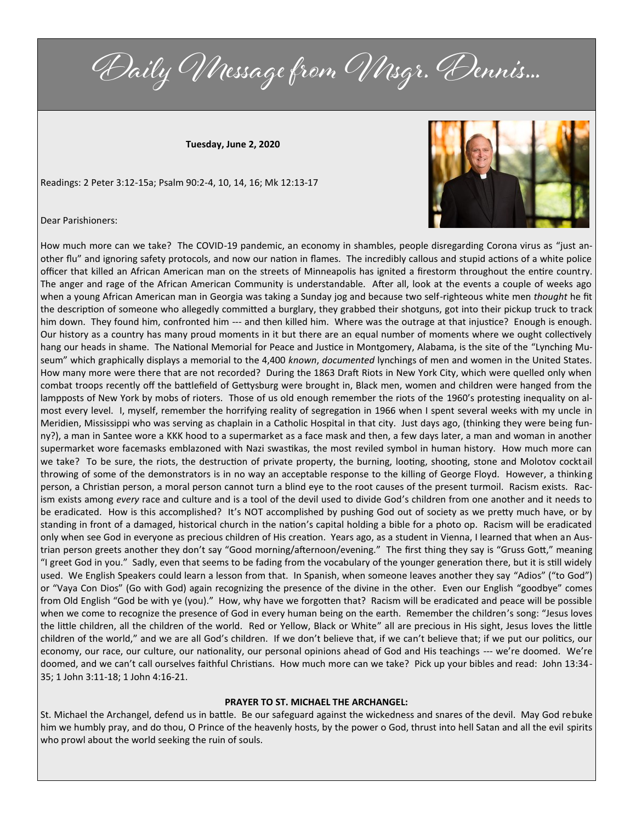Daily Message from Msgr. Dennis...

**Tuesday, June 2, 2020**

Readings: 2 Peter 3:12-15a; Psalm 90:2-4, 10, 14, 16; Mk 12:13-17



Dear Parishioners:

How much more can we take? The COVID-19 pandemic, an economy in shambles, people disregarding Corona virus as "just another flu" and ignoring safety protocols, and now our nation in flames. The incredibly callous and stupid actions of a white police officer that killed an African American man on the streets of Minneapolis has ignited a firestorm throughout the entire country. The anger and rage of the African American Community is understandable. After all, look at the events a couple of weeks ago when a young African American man in Georgia was taking a Sunday jog and because two self-righteous white men *thought* he fit the description of someone who allegedly committed a burglary, they grabbed their shotguns, got into their pickup truck to track him down. They found him, confronted him --- and then killed him. Where was the outrage at that injustice? Enough is enough. Our history as a country has many proud moments in it but there are an equal number of moments where we ought collectively hang our heads in shame. The National Memorial for Peace and Justice in Montgomery, Alabama, is the site of the "Lynching Museum" which graphically displays a memorial to the 4,400 *known*, *documented* lynchings of men and women in the United States. How many more were there that are not recorded? During the 1863 Draft Riots in New York City, which were quelled only when combat troops recently off the battlefield of Gettysburg were brought in, Black men, women and children were hanged from the lampposts of New York by mobs of rioters. Those of us old enough remember the riots of the 1960's protesting inequality on almost every level. I, myself, remember the horrifying reality of segregation in 1966 when I spent several weeks with my uncle in Meridien, Mississippi who was serving as chaplain in a Catholic Hospital in that city. Just days ago, (thinking they were being funny?), a man in Santee wore a KKK hood to a supermarket as a face mask and then, a few days later, a man and woman in another supermarket wore facemasks emblazoned with Nazi swastikas, the most reviled symbol in human history. How much more can we take? To be sure, the riots, the destruction of private property, the burning, looting, shooting, stone and Molotov cocktail throwing of some of the demonstrators is in no way an acceptable response to the killing of George Floyd. However, a thinking person, a Christian person, a moral person cannot turn a blind eye to the root causes of the present turmoil. Racism exists. Racism exists among *every* race and culture and is a tool of the devil used to divide God's children from one another and it needs to be eradicated. How is this accomplished? It's NOT accomplished by pushing God out of society as we pretty much have, or by standing in front of a damaged, historical church in the nation's capital holding a bible for a photo op. Racism will be eradicated only when see God in everyone as precious children of His creation. Years ago, as a student in Vienna, I learned that when an Austrian person greets another they don't say "Good morning/afternoon/evening." The first thing they say is "Gruss Gott," meaning "I greet God in you." Sadly, even that seems to be fading from the vocabulary of the younger generation there, but it is still widely used. We English Speakers could learn a lesson from that. In Spanish, when someone leaves another they say "Adios" ("to God") or "Vaya Con Dios" (Go with God) again recognizing the presence of the divine in the other. Even our English "goodbye" comes from Old English "God be with ye (you)." How, why have we forgotten that? Racism will be eradicated and peace will be possible when we come to recognize the presence of God in every human being on the earth. Remember the children's song: "Jesus loves the little children, all the children of the world. Red or Yellow, Black or White" all are precious in His sight, Jesus loves the little children of the world," and we are all God's children. If we don't believe that, if we can't believe that; if we put our politics, our economy, our race, our culture, our nationality, our personal opinions ahead of God and His teachings --- we're doomed. We're doomed, and we can't call ourselves faithful Christians. How much more can we take? Pick up your bibles and read: John 13:34- 35; 1 John 3:11-18; 1 John 4:16-21.

## **PRAYER TO ST. MICHAEL THE ARCHANGEL:**

St. Michael the Archangel, defend us in battle. Be our safeguard against the wickedness and snares of the devil. May God rebuke him we humbly pray, and do thou, O Prince of the heavenly hosts, by the power o God, thrust into hell Satan and all the evil spirits who prowl about the world seeking the ruin of souls.